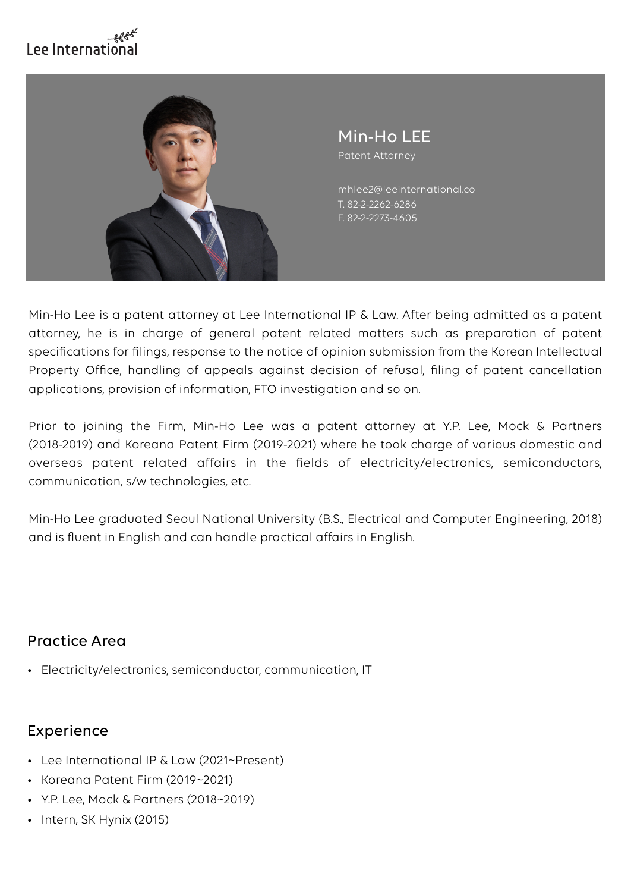# Lee Internationa



Min-Ho LEE Patent Attorney

T. 82-2-2262-6286 F. 82-2-2273-4605 mhlee2@leeinternational.co

Min-Ho Lee is a patent attorney at Lee International IP & Law. After being admitted as a patent attorney, he is in charge of general patent related matters such as preparation of patent specifications for filings, response to the notice of opinion submission from the Korean Intellectual Property Office, handling of appeals against decision of refusal, filing of patent cancellation applications, provision of information, FTO investigation and so on.

Prior to joining the Firm, Min-Ho Lee was a patent attorney at Y.P. Lee, Mock & Partners (2018-2019) and Koreana Patent Firm (2019-2021) where he took charge of various domestic and overseas patent related affairs in the fields of electricity/electronics, semiconductors, communication, s/w technologies, etc.

Min-Ho Lee graduated Seoul National University (B.S., Electrical and Computer Engineering, 2018) and is fluent in English and can handle practical affairs in English.

#### Practice Area

• Electricity/electronics, semiconductor, communication, IT

### Experience

- Lee International IP & Law (2021~Present)
- Koreana Patent Firm (2019~2021)
- Y.P. Lee, Mock & Partners (2018~2019)
- Intern, SK Hynix (2015)